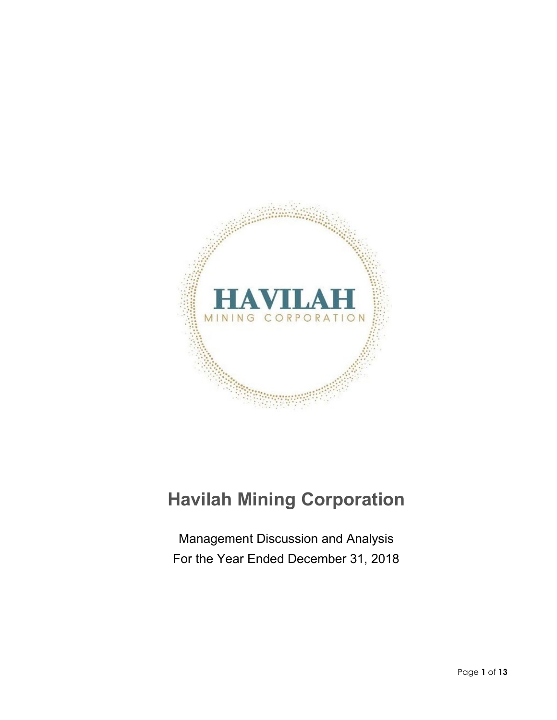

# **Havilah Mining Corporation**

Management Discussion and Analysis For the Year Ended December 31, 2018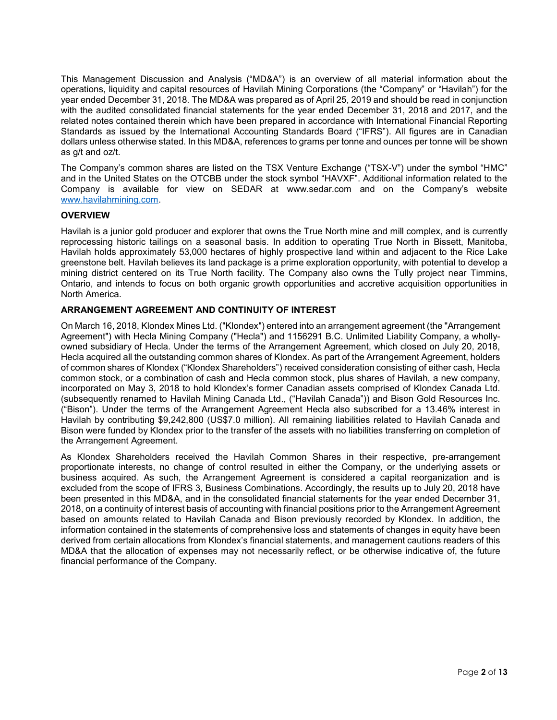This Management Discussion and Analysis ("MD&A") is an overview of all material information about the operations, liquidity and capital resources of Havilah Mining Corporations (the "Company" or "Havilah") for the year ended December 31, 2018. The MD&A was prepared as of April 25, 2019 and should be read in conjunction with the audited consolidated financial statements for the year ended December 31, 2018 and 2017, and the related notes contained therein which have been prepared in accordance with International Financial Reporting Standards as issued by the International Accounting Standards Board ("IFRS"). All figures are in Canadian dollars unless otherwise stated. In this MD&A, references to grams per tonne and ounces per tonne will be shown as g/t and oz/t.

The Company's common shares are listed on the TSX Venture Exchange ("TSX-V") under the symbol "HMC" and in the United States on the OTCBB under the stock symbol "HAVXF". Additional information related to the Company is available for view on SEDAR at www.sedar.com and on the Company's website [www.havilahmining.com.](http://www.havilahmining.com/)

# **OVERVIEW**

Havilah is a junior gold producer and explorer that owns the True North mine and mill complex, and is currently reprocessing historic tailings on a seasonal basis. In addition to operating True North in Bissett, Manitoba, Havilah holds approximately 53,000 hectares of highly prospective land within and adjacent to the Rice Lake greenstone belt. Havilah believes its land package is a prime exploration opportunity, with potential to develop a mining district centered on its True North facility. The Company also owns the Tully project near Timmins, Ontario, and intends to focus on both organic growth opportunities and accretive acquisition opportunities in North America.

# **ARRANGEMENT AGREEMENT AND CONTINUITY OF INTEREST**

On March 16, 2018, Klondex Mines Ltd. ("Klondex") entered into an arrangement agreement (the "Arrangement Agreement") with Hecla Mining Company ("Hecla") and 1156291 B.C. Unlimited Liability Company, a whollyowned subsidiary of Hecla. Under the terms of the Arrangement Agreement, which closed on July 20, 2018, Hecla acquired all the outstanding common shares of Klondex. As part of the Arrangement Agreement, holders of common shares of Klondex ("Klondex Shareholders") received consideration consisting of either cash, Hecla common stock, or a combination of cash and Hecla common stock, plus shares of Havilah, a new company, incorporated on May 3, 2018 to hold Klondex's former Canadian assets comprised of Klondex Canada Ltd. (subsequently renamed to Havilah Mining Canada Ltd., ("Havilah Canada")) and Bison Gold Resources Inc. ("Bison"). Under the terms of the Arrangement Agreement Hecla also subscribed for a 13.46% interest in Havilah by contributing \$9,242,800 (US\$7.0 million). All remaining liabilities related to Havilah Canada and Bison were funded by Klondex prior to the transfer of the assets with no liabilities transferring on completion of the Arrangement Agreement.

As Klondex Shareholders received the Havilah Common Shares in their respective, pre-arrangement proportionate interests, no change of control resulted in either the Company, or the underlying assets or business acquired. As such, the Arrangement Agreement is considered a capital reorganization and is excluded from the scope of IFRS 3, Business Combinations. Accordingly, the results up to July 20, 2018 have been presented in this MD&A, and in the consolidated financial statements for the year ended December 31, 2018, on a continuity of interest basis of accounting with financial positions prior to the Arrangement Agreement based on amounts related to Havilah Canada and Bison previously recorded by Klondex. In addition, the information contained in the statements of comprehensive loss and statements of changes in equity have been derived from certain allocations from Klondex's financial statements, and management cautions readers of this MD&A that the allocation of expenses may not necessarily reflect, or be otherwise indicative of, the future financial performance of the Company.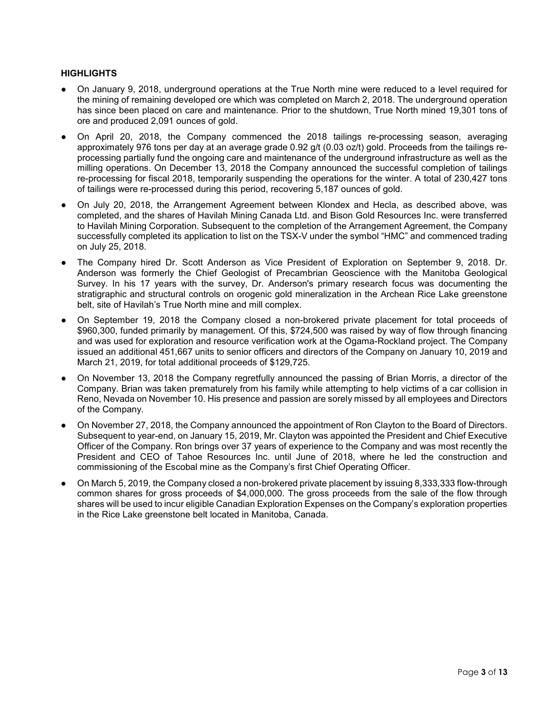# **HIGHLIGHTS**

- On January 9, 2018, underground operations at the True North mine were reduced to a level required for the mining of remaining developed ore which was completed on March 2, 2018. The underground operation has since been placed on care and maintenance. Prior to the shutdown, True North mined 19,301 tons of ore and produced 2,091 ounces of gold.
- On April 20, 2018, the Company commenced the 2018 tailings re-processing season, averaging approximately 976 tons per day at an average grade 0.92 g/t (0.03 oz/t) gold. Proceeds from the tailings reprocessing partially fund the ongoing care and maintenance of the underground infrastructure as well as the milling operations. On December 13, 2018 the Company announced the successful completion of tailings re-processing for fiscal 2018, temporarily suspending the operations for the winter. A total of 230,427 tons of tailings were re-processed during this period, recovering 5,187 ounces of gold.
- On July 20, 2018, the Arrangement Agreement between Klondex and Hecla, as described above, was completed, and the shares of Havilah Mining Canada Ltd. and Bison Gold Resources Inc. were transferred to Havilah Mining Corporation. Subsequent to the completion of the Arrangement Agreement, the Company successfully completed its application to list on the TSX-V under the symbol "HMC" and commenced trading on July 25, 2018.
- The Company hired Dr. Scott Anderson as Vice President of Exploration on September 9, 2018. Dr. Anderson was formerly the Chief Geologist of Precambrian Geoscience with the Manitoba Geological Survey. In his 17 years with the survey, Dr. Anderson's primary research focus was documenting the stratigraphic and structural controls on orogenic gold mineralization in the Archean Rice Lake greenstone belt, site of Havilah's True North mine and mill complex.
- On September 19, 2018 the Company closed a non-brokered private placement for total proceeds of \$960,300, funded primarily by management. Of this, \$724,500 was raised by way of flow through financing and was used for exploration and resource verification work at the Ogama-Rockland project. The Company issued an additional 451,667 units to senior officers and directors of the Company on January 10, 2019 and March 21, 2019, for total additional proceeds of \$129,725.
- On November 13, 2018 the Company regretfully announced the passing of Brian Morris, a director of the Company. Brian was taken prematurely from his family while attempting to help victims of a car collision in Reno, Nevada on November 10. His presence and passion are sorely missed by all employees and Directors of the Company.
- On November 27, 2018, the Company announced the appointment of Ron Clayton to the Board of Directors. Subsequent to year-end, on January 15, 2019, Mr. Clayton was appointed the President and Chief Executive Officer of the Company. Ron brings over 37 years of experience to the Company and was most recently the President and CEO of Tahoe Resources Inc. until June of 2018, where he led the construction and commissioning of the Escobal mine as the Company's first Chief Operating Officer.
- On March 5, 2019, the Company closed a non-brokered private placement by issuing 8,333,333 flow-through common shares for gross proceeds of \$4,000,000. The gross proceeds from the sale of the flow through shares will be used to incur eligible Canadian Exploration Expenses on the Company's exploration properties in the Rice Lake greenstone belt located in Manitoba, Canada.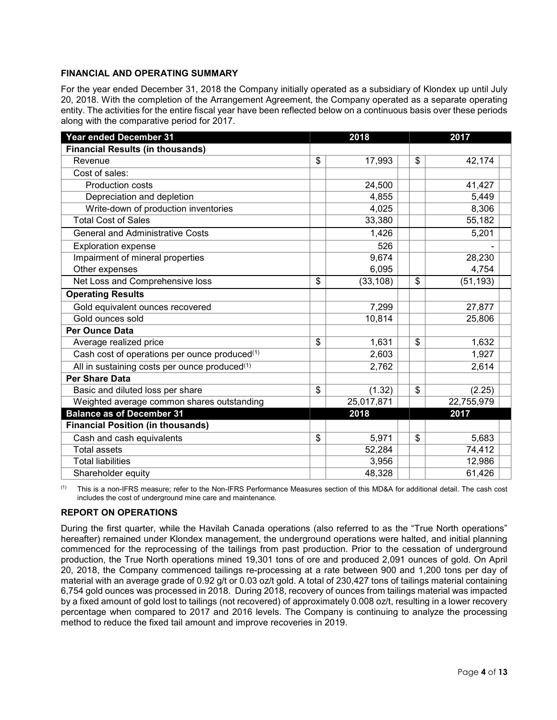# **FINANCIAL AND OPERATING SUMMARY**

For the year ended December 31, 2018 the Company initially operated as a subsidiary of Klondex up until July 20, 2018. With the completion of the Arrangement Agreement, the Company operated as a separate operating entity. The activities for the entire fiscal year have been reflected below on a continuous basis over these periods along with the comparative period for 2017.

| Year ended December 31                                    | 2018            | 2017            |
|-----------------------------------------------------------|-----------------|-----------------|
| <b>Financial Results (in thousands)</b>                   |                 |                 |
| Revenue                                                   | \$<br>17,993    | \$<br>42,174    |
| Cost of sales:                                            |                 |                 |
| <b>Production costs</b>                                   | 24,500          | 41,427          |
| Depreciation and depletion                                | 4,855           | 5,449           |
| Write-down of production inventories                      | 4,025           | 8,306           |
| <b>Total Cost of Sales</b>                                | 33,380          | 55,182          |
| <b>General and Administrative Costs</b>                   | 1,426           | 5,201           |
| <b>Exploration expense</b>                                | 526             |                 |
| Impairment of mineral properties                          | 9,674           | 28,230          |
| Other expenses                                            | 6,095           | 4,754           |
| Net Loss and Comprehensive loss                           | \$<br>(33, 108) | \$<br>(51, 193) |
| <b>Operating Results</b>                                  |                 |                 |
| Gold equivalent ounces recovered                          | 7,299           | 27,877          |
| Gold ounces sold                                          | 10,814          | 25,806          |
| <b>Per Ounce Data</b>                                     |                 |                 |
| Average realized price                                    | \$<br>1,631     | \$<br>1,632     |
| Cash cost of operations per ounce produced <sup>(1)</sup> | 2,603           | 1,927           |
| All in sustaining costs per ounce produced <sup>(1)</sup> | 2,762           | 2,614           |
| <b>Per Share Data</b>                                     |                 |                 |
| Basic and diluted loss per share                          | \$<br>(1.32)    | \$<br>(2.25)    |
| Weighted average common shares outstanding                | 25,017,871      | 22,755,979      |
| <b>Balance as of December 31</b>                          | 2018            | 2017            |
| <b>Financial Position (in thousands)</b>                  |                 |                 |
| Cash and cash equivalents                                 | \$<br>5,971     | \$<br>5,683     |
| Total assets                                              | 52,284          | 74,412          |
| <b>Total liabilities</b>                                  | 3,956           | 12,986          |
| Shareholder equity                                        | 48,328          | 61,426          |

(1) This is a non-IFRS measure; refer to the Non-IFRS Performance Measures section of this MD&A for additional detail. The cash cost includes the cost of underground mine care and maintenance.

# **REPORT ON OPERATIONS**

During the first quarter, while the Havilah Canada operations (also referred to as the "True North operations" hereafter) remained under Klondex management, the underground operations were halted, and initial planning commenced for the reprocessing of the tailings from past production. Prior to the cessation of underground production, the True North operations mined 19,301 tons of ore and produced 2,091 ounces of gold. On April 20, 2018, the Company commenced tailings re-processing at a rate between 900 and 1,200 tons per day of material with an average grade of 0.92 g/t or 0.03 oz/t gold. A total of 230,427 tons of tailings material containing 6,754 gold ounces was processed in 2018. During 2018, recovery of ounces from tailings material was impacted by a fixed amount of gold lost to tailings (not recovered) of approximately 0.008 oz/t, resulting in a lower recovery percentage when compared to 2017 and 2016 levels. The Company is continuing to analyze the processing method to reduce the fixed tail amount and improve recoveries in 2019.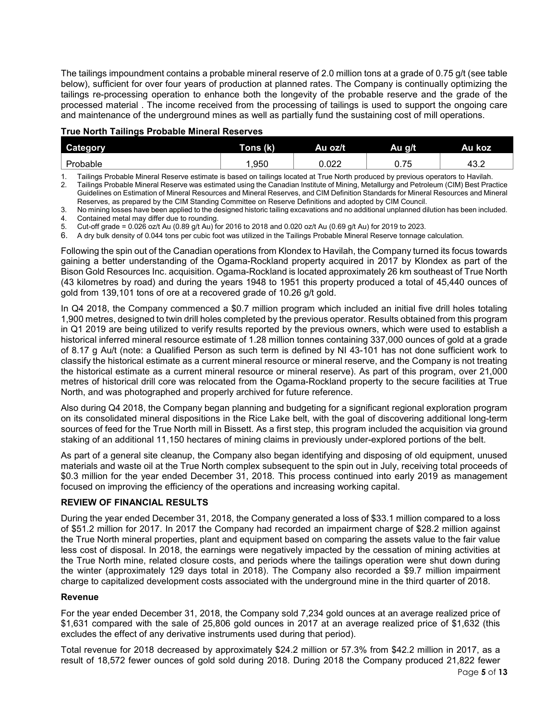The tailings impoundment contains a probable mineral reserve of 2.0 million tons at a grade of 0.75 g/t (see table below), sufficient for over four years of production at planned rates. The Company is continually optimizing the tailings re-processing operation to enhance both the longevity of the probable reserve and the grade of the processed material . The income received from the processing of tailings is used to support the ongoing care and maintenance of the underground mines as well as partially fund the sustaining cost of mill operations.

# **True North Tailings Probable Mineral Reserves**

| $\bullet$<br><b>Category</b> | Tons (k) | Au oz/t     | Au g/t         | Au koz      |
|------------------------------|----------|-------------|----------------|-------------|
| Probable                     | ,950     | റാ<br>U.UZZ | $ -$<br>v. 1 J | ໍາ<br>ـ∡.ט+ |

1. Tailings Probable Mineral Reserve estimate is based on tailings located at True North produced by previous operators to Havilah. 2. Tailings Probable Mineral Reserve was estimated using the Canadian Institute of Mining, Metallurgy and Petroleum (CIM) Best Practice Guidelines on Estimation of Mineral Resources and Mineral Reserves, and CIM Definition Standards for Mineral Resources and Mineral Reserves, as prepared by the CIM Standing Committee on Reserve Definitions and adopted by CIM Council.

3. No mining losses have been applied to the designed historic tailing excavations and no additional unplanned dilution has been included. Contained metal may differ due to rounding.

5. Cut-off grade = 0.026 oz/t Au (0.89 g/t Au) for 2016 to 2018 and 0.020 oz/t Au (0.69 g/t Au) for 2019 to 2023.

6. A dry bulk density of 0.044 tons per cubic foot was utilized in the Tailings Probable Mineral Reserve tonnage calculation.

Following the spin out of the Canadian operations from Klondex to Havilah, the Company turned its focus towards gaining a better understanding of the Ogama-Rockland property acquired in 2017 by Klondex as part of the Bison Gold Resources Inc. acquisition. Ogama-Rockland is located approximately 26 km southeast of True North (43 kilometres by road) and during the years 1948 to 1951 this property produced a total of 45,440 ounces of gold from 139,101 tons of ore at a recovered grade of 10.26 g/t gold.

In Q4 2018, the Company commenced a \$0.7 million program which included an initial five drill holes totaling 1,900 metres, designed to twin drill holes completed by the previous operator. Results obtained from this program in Q1 2019 are being utilized to verify results reported by the previous owners, which were used to establish a historical inferred mineral resource estimate of 1.28 million tonnes containing 337,000 ounces of gold at a grade of 8.17 g Au/t (note: a Qualified Person as such term is defined by NI 43-101 has not done sufficient work to classify the historical estimate as a current mineral resource or mineral reserve, and the Company is not treating the historical estimate as a current mineral resource or mineral reserve). As part of this program, over 21,000 metres of historical drill core was relocated from the Ogama-Rockland property to the secure facilities at True North, and was photographed and properly archived for future reference.

Also during Q4 2018, the Company began planning and budgeting for a significant regional exploration program on its consolidated mineral dispositions in the Rice Lake belt, with the goal of discovering additional long-term sources of feed for the True North mill in Bissett. As a first step, this program included the acquisition via ground staking of an additional 11,150 hectares of mining claims in previously under-explored portions of the belt.

As part of a general site cleanup, the Company also began identifying and disposing of old equipment, unused materials and waste oil at the True North complex subsequent to the spin out in July, receiving total proceeds of \$0.3 million for the year ended December 31, 2018. This process continued into early 2019 as management focused on improving the efficiency of the operations and increasing working capital.

## **REVIEW OF FINANCIAL RESULTS**

During the year ended December 31, 2018, the Company generated a loss of \$33.1 million compared to a loss of \$51.2 million for 2017. In 2017 the Company had recorded an impairment charge of \$28.2 million against the True North mineral properties, plant and equipment based on comparing the assets value to the fair value less cost of disposal. In 2018, the earnings were negatively impacted by the cessation of mining activities at the True North mine, related closure costs, and periods where the tailings operation were shut down during the winter (approximately 129 days total in 2018). The Company also recorded a \$9.7 million impairment charge to capitalized development costs associated with the underground mine in the third quarter of 2018.

## **Revenue**

For the year ended December 31, 2018, the Company sold 7,234 gold ounces at an average realized price of \$1,631 compared with the sale of 25,806 gold ounces in 2017 at an average realized price of \$1,632 (this excludes the effect of any derivative instruments used during that period).

Total revenue for 2018 decreased by approximately \$24.2 million or 57.3% from \$42.2 million in 2017, as a result of 18,572 fewer ounces of gold sold during 2018. During 2018 the Company produced 21,822 fewer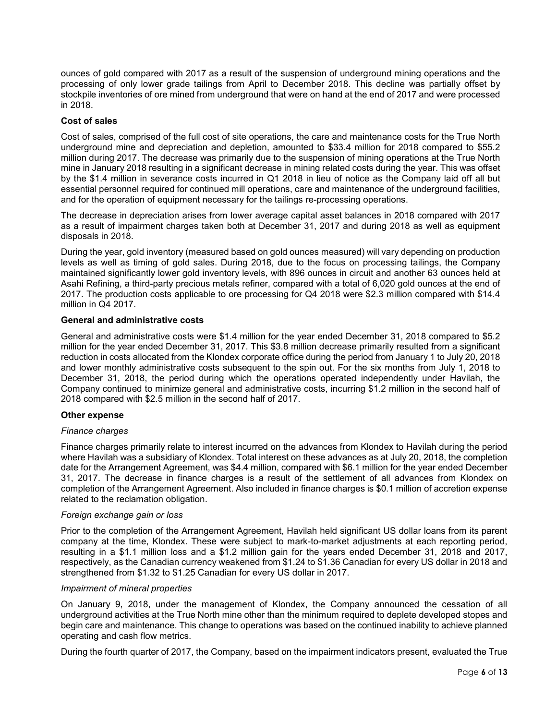ounces of gold compared with 2017 as a result of the suspension of underground mining operations and the processing of only lower grade tailings from April to December 2018. This decline was partially offset by stockpile inventories of ore mined from underground that were on hand at the end of 2017 and were processed in 2018.

## **Cost of sales**

Cost of sales, comprised of the full cost of site operations, the care and maintenance costs for the True North underground mine and depreciation and depletion, amounted to \$33.4 million for 2018 compared to \$55.2 million during 2017. The decrease was primarily due to the suspension of mining operations at the True North mine in January 2018 resulting in a significant decrease in mining related costs during the year. This was offset by the \$1.4 million in severance costs incurred in Q1 2018 in lieu of notice as the Company laid off all but essential personnel required for continued mill operations, care and maintenance of the underground facilities, and for the operation of equipment necessary for the tailings re-processing operations.

The decrease in depreciation arises from lower average capital asset balances in 2018 compared with 2017 as a result of impairment charges taken both at December 31, 2017 and during 2018 as well as equipment disposals in 2018.

During the year, gold inventory (measured based on gold ounces measured) will vary depending on production levels as well as timing of gold sales. During 2018, due to the focus on processing tailings, the Company maintained significantly lower gold inventory levels, with 896 ounces in circuit and another 63 ounces held at Asahi Refining, a third-party precious metals refiner, compared with a total of 6,020 gold ounces at the end of 2017. The production costs applicable to ore processing for Q4 2018 were \$2.3 million compared with \$14.4 million in Q4 2017.

## **General and administrative costs**

General and administrative costs were \$1.4 million for the year ended December 31, 2018 compared to \$5.2 million for the year ended December 31, 2017. This \$3.8 million decrease primarily resulted from a significant reduction in costs allocated from the Klondex corporate office during the period from January 1 to July 20, 2018 and lower monthly administrative costs subsequent to the spin out. For the six months from July 1, 2018 to December 31, 2018, the period during which the operations operated independently under Havilah, the Company continued to minimize general and administrative costs, incurring \$1.2 million in the second half of 2018 compared with \$2.5 million in the second half of 2017.

## **Other expense**

#### *Finance charges*

Finance charges primarily relate to interest incurred on the advances from Klondex to Havilah during the period where Havilah was a subsidiary of Klondex. Total interest on these advances as at July 20, 2018, the completion date for the Arrangement Agreement, was \$4.4 million, compared with \$6.1 million for the year ended December 31, 2017. The decrease in finance charges is a result of the settlement of all advances from Klondex on completion of the Arrangement Agreement. Also included in finance charges is \$0.1 million of accretion expense related to the reclamation obligation.

#### *Foreign exchange gain or loss*

Prior to the completion of the Arrangement Agreement, Havilah held significant US dollar loans from its parent company at the time, Klondex. These were subject to mark-to-market adjustments at each reporting period, resulting in a \$1.1 million loss and a \$1.2 million gain for the years ended December 31, 2018 and 2017, respectively, as the Canadian currency weakened from \$1.24 to \$1.36 Canadian for every US dollar in 2018 and strengthened from \$1.32 to \$1.25 Canadian for every US dollar in 2017.

#### *Impairment of mineral properties*

On January 9, 2018, under the management of Klondex, the Company announced the cessation of all underground activities at the True North mine other than the minimum required to deplete developed stopes and begin care and maintenance. This change to operations was based on the continued inability to achieve planned operating and cash flow metrics.

During the fourth quarter of 2017, the Company, based on the impairment indicators present, evaluated the True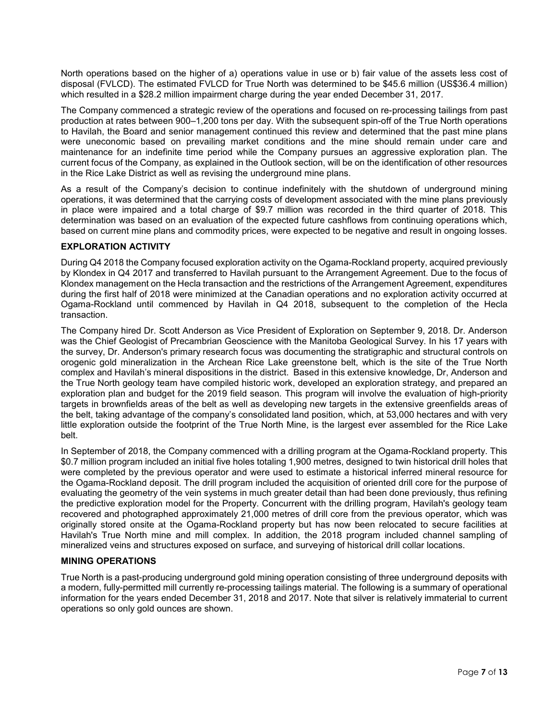North operations based on the higher of a) operations value in use or b) fair value of the assets less cost of disposal (FVLCD). The estimated FVLCD for True North was determined to be \$45.6 million (US\$36.4 million) which resulted in a \$28.2 million impairment charge during the year ended December 31, 2017.

The Company commenced a strategic review of the operations and focused on re-processing tailings from past production at rates between 900–1,200 tons per day. With the subsequent spin-off of the True North operations to Havilah, the Board and senior management continued this review and determined that the past mine plans were uneconomic based on prevailing market conditions and the mine should remain under care and maintenance for an indefinite time period while the Company pursues an aggressive exploration plan. The current focus of the Company, as explained in the Outlook section, will be on the identification of other resources in the Rice Lake District as well as revising the underground mine plans.

As a result of the Company's decision to continue indefinitely with the shutdown of underground mining operations, it was determined that the carrying costs of development associated with the mine plans previously in place were impaired and a total charge of \$9.7 million was recorded in the third quarter of 2018. This determination was based on an evaluation of the expected future cashflows from continuing operations which, based on current mine plans and commodity prices, were expected to be negative and result in ongoing losses.

## **EXPLORATION ACTIVITY**

During Q4 2018 the Company focused exploration activity on the Ogama-Rockland property, acquired previously by Klondex in Q4 2017 and transferred to Havilah pursuant to the Arrangement Agreement. Due to the focus of Klondex management on the Hecla transaction and the restrictions of the Arrangement Agreement, expenditures during the first half of 2018 were minimized at the Canadian operations and no exploration activity occurred at Ogama-Rockland until commenced by Havilah in Q4 2018, subsequent to the completion of the Hecla transaction.

The Company hired Dr. Scott Anderson as Vice President of Exploration on September 9, 2018. Dr. Anderson was the Chief Geologist of Precambrian Geoscience with the Manitoba Geological Survey. In his 17 years with the survey, Dr. Anderson's primary research focus was documenting the stratigraphic and structural controls on orogenic gold mineralization in the Archean Rice Lake greenstone belt, which is the site of the True North complex and Havilah's mineral dispositions in the district. Based in this extensive knowledge, Dr, Anderson and the True North geology team have compiled historic work, developed an exploration strategy, and prepared an exploration plan and budget for the 2019 field season. This program will involve the evaluation of high-priority targets in brownfields areas of the belt as well as developing new targets in the extensive greenfields areas of the belt, taking advantage of the company's consolidated land position, which, at 53,000 hectares and with very little exploration outside the footprint of the True North Mine, is the largest ever assembled for the Rice Lake belt.

In September of 2018, the Company commenced with a drilling program at the Ogama-Rockland property. This \$0.7 million program included an initial five holes totaling 1,900 metres, designed to twin historical drill holes that were completed by the previous operator and were used to estimate a historical inferred mineral resource for the Ogama-Rockland deposit. The drill program included the acquisition of oriented drill core for the purpose of evaluating the geometry of the vein systems in much greater detail than had been done previously, thus refining the predictive exploration model for the Property. Concurrent with the drilling program, Havilah's geology team recovered and photographed approximately 21,000 metres of drill core from the previous operator, which was originally stored onsite at the Ogama-Rockland property but has now been relocated to secure facilities at Havilah's True North mine and mill complex. In addition, the 2018 program included channel sampling of mineralized veins and structures exposed on surface, and surveying of historical drill collar locations.

#### **MINING OPERATIONS**

True North is a past-producing underground gold mining operation consisting of three underground deposits with a modern, fully-permitted mill currently re-processing tailings material. The following is a summary of operational information for the years ended December 31, 2018 and 2017. Note that silver is relatively immaterial to current operations so only gold ounces are shown.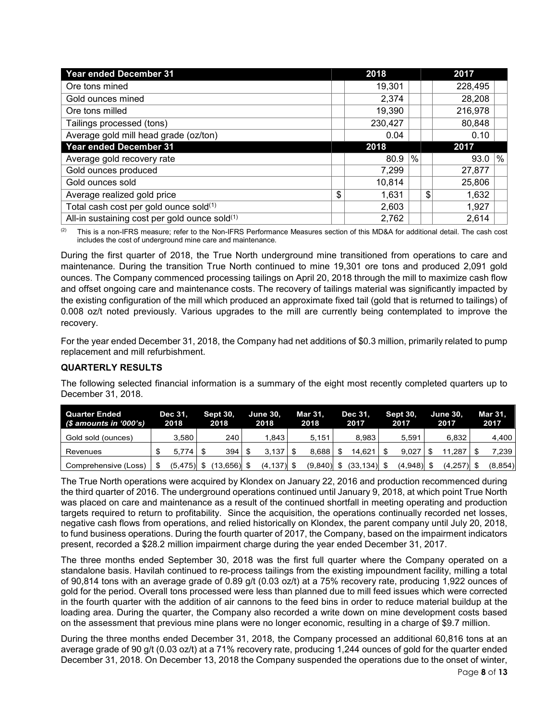| <b>Year ended December 31</b>                 | 2018        |   | 2017        |   |
|-----------------------------------------------|-------------|---|-------------|---|
| Ore tons mined                                | 19,301      |   | 228,495     |   |
| Gold ounces mined                             | 2,374       |   | 28,208      |   |
| Ore tons milled                               | 19,390      |   | 216,978     |   |
| Tailings processed (tons)                     | 230,427     |   | 80,848      |   |
| Average gold mill head grade (oz/ton)         | 0.04        |   | 0.10        |   |
| <b>Year ended December 31</b>                 | 2018        |   | 2017        |   |
| Average gold recovery rate                    | 80.9        | % | 93.0        | % |
| Gold ounces produced                          | 7.299       |   | 27,877      |   |
| Gold ounces sold                              | 10,814      |   | 25,806      |   |
| Average realized gold price                   | \$<br>1,631 |   | \$<br>1,632 |   |
| Total cash cost per gold ounce sold(1)        | 2,603       |   | 1,927       |   |
| All-in sustaining cost per gold ounce sold(1) | 2,762       |   | 2,614       |   |

 $(2)$  This is a non-IFRS measure; refer to the Non-IFRS Performance Measures section of this MD&A for additional detail. The cash cost includes the cost of underground mine care and maintenance.

During the first quarter of 2018, the True North underground mine transitioned from operations to care and maintenance. During the transition True North continued to mine 19,301 ore tons and produced 2,091 gold ounces. The Company commenced processing tailings on April 20, 2018 through the mill to maximize cash flow and offset ongoing care and maintenance costs. The recovery of tailings material was significantly impacted by the existing configuration of the mill which produced an approximate fixed tail (gold that is returned to tailings) of 0.008 oz/t noted previously. Various upgrades to the mill are currently being contemplated to improve the recovery.

For the year ended December 31, 2018, the Company had net additions of \$0.3 million, primarily related to pump replacement and mill refurbishment.

# **QUARTERLY RESULTS**

The following selected financial information is a summary of the eight most recently completed quarters up to December 31, 2018.

| <b>Quarter Ended</b><br>(\$ amounts in '000's) | Dec 31.<br>2018 | <b>Sept 30.</b><br>2018 | <b>June 30.</b><br>2018 | Mar 31.<br>2018 | Dec 31.<br>2017 | <b>Sept 30.</b><br>2017 | <b>June 30.</b><br>2017 | Mar 31.<br>2017 |
|------------------------------------------------|-----------------|-------------------------|-------------------------|-----------------|-----------------|-------------------------|-------------------------|-----------------|
| Gold sold (ounces)                             | 3.580           | 240                     | .843                    | 5.151           | 8.983           | 5.591                   | 6.832                   | 4.400           |
| Revenues                                       | 5.774           |                         | $3.137$ $\frac{1}{3}$   | 8.688           | 14.621          | 9.027                   | .287                    | 7,239           |
| Comprehensive (Loss)                           | $(5,475)$ \$    | $(13,656)$ \$           | $(4, 137)$ \$           | $(9,840)$ \$    | (33,134) \$     | $(4,948)$ \$            | $(4,257)$ \$            | (8, 854)        |

The True North operations were acquired by Klondex on January 22, 2016 and production recommenced during the third quarter of 2016. The underground operations continued until January 9, 2018, at which point True North was placed on care and maintenance as a result of the continued shortfall in meeting operating and production targets required to return to profitability. Since the acquisition, the operations continually recorded net losses, negative cash flows from operations, and relied historically on Klondex, the parent company until July 20, 2018, to fund business operations. During the fourth quarter of 2017, the Company, based on the impairment indicators present, recorded a \$28.2 million impairment charge during the year ended December 31, 2017.

The three months ended September 30, 2018 was the first full quarter where the Company operated on a standalone basis. Havilah continued to re-process tailings from the existing impoundment facility, milling a total of 90,814 tons with an average grade of 0.89 g/t (0.03 oz/t) at a 75% recovery rate, producing 1,922 ounces of gold for the period. Overall tons processed were less than planned due to mill feed issues which were corrected in the fourth quarter with the addition of air cannons to the feed bins in order to reduce material buildup at the loading area. During the quarter, the Company also recorded a write down on mine development costs based on the assessment that previous mine plans were no longer economic, resulting in a charge of \$9.7 million.

During the three months ended December 31, 2018, the Company processed an additional 60,816 tons at an average grade of 90 g/t (0.03 oz/t) at a 71% recovery rate, producing 1,244 ounces of gold for the quarter ended December 31, 2018. On December 13, 2018 the Company suspended the operations due to the onset of winter,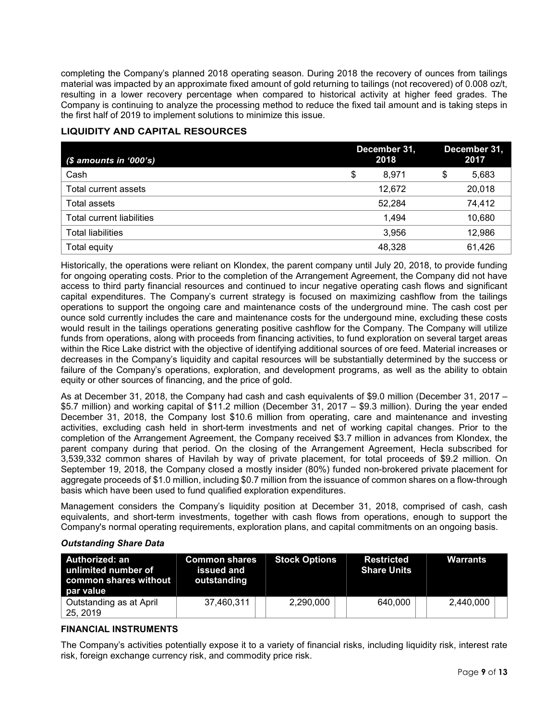completing the Company's planned 2018 operating season. During 2018 the recovery of ounces from tailings material was impacted by an approximate fixed amount of gold returning to tailings (not recovered) of 0.008 oz/t, resulting in a lower recovery percentage when compared to historical activity at higher feed grades. The Company is continuing to analyze the processing method to reduce the fixed tail amount and is taking steps in the first half of 2019 to implement solutions to minimize this issue.

# **LIQUIDITY AND CAPITAL RESOURCES**

| $$$ amounts in '000's)    | December 31,<br>2018 | December 31,<br>2017 |
|---------------------------|----------------------|----------------------|
| Cash                      | \$<br>8.971          | \$<br>5,683          |
| Total current assets      | 12,672               | 20,018               |
| Total assets              | 52,284               | 74,412               |
| Total current liabilities | 1.494                | 10,680               |
| <b>Total liabilities</b>  | 3.956                | 12,986               |
| Total equity              | 48,328               | 61,426               |

Historically, the operations were reliant on Klondex, the parent company until July 20, 2018, to provide funding for ongoing operating costs. Prior to the completion of the Arrangement Agreement, the Company did not have access to third party financial resources and continued to incur negative operating cash flows and significant capital expenditures. The Company's current strategy is focused on maximizing cashflow from the tailings operations to support the ongoing care and maintenance costs of the underground mine. The cash cost per ounce sold currently includes the care and maintenance costs for the undergound mine, excluding these costs would result in the tailings operations generating positive cashflow for the Company. The Company will utilize funds from operations, along with proceeds from financing activities, to fund exploration on several target areas within the Rice Lake district with the objective of identifying additional sources of ore feed. Material increases or decreases in the Company's liquidity and capital resources will be substantially determined by the success or failure of the Company's operations, exploration, and development programs, as well as the ability to obtain equity or other sources of financing, and the price of gold.

As at December 31, 2018, the Company had cash and cash equivalents of \$9.0 million (December 31, 2017 – \$5.7 million) and working capital of \$11.2 million (December 31, 2017 – \$9.3 million). During the year ended December 31, 2018, the Company lost \$10.6 million from operating, care and maintenance and investing activities, excluding cash held in short-term investments and net of working capital changes. Prior to the completion of the Arrangement Agreement, the Company received \$3.7 million in advances from Klondex, the parent company during that period. On the closing of the Arrangement Agreement, Hecla subscribed for 3,539,332 common shares of Havilah by way of private placement, for total proceeds of \$9.2 million. On September 19, 2018, the Company closed a mostly insider (80%) funded non-brokered private placement for aggregate proceeds of \$1.0 million, including \$0.7 million from the issuance of common shares on a flow-through basis which have been used to fund qualified exploration expenditures.

Management considers the Company's liquidity position at December 31, 2018, comprised of cash, cash equivalents, and short-term investments, together with cash flows from operations, enough to support the Company's normal operating requirements, exploration plans, and capital commitments on an ongoing basis.

## *Outstanding Share Data*

| Authorized: an<br>unlimited number of<br>common shares without<br>par value | <b>Common shares</b><br>issued and<br>outstanding | <b>Stock Options</b> | <b>Restricted</b><br><b>Share Units</b> | Warrants  |
|-----------------------------------------------------------------------------|---------------------------------------------------|----------------------|-----------------------------------------|-----------|
| Outstanding as at April<br>25, 2019                                         | 37,460,311                                        | 2,290,000            | 640,000                                 | 2,440,000 |

## **FINANCIAL INSTRUMENTS**

The Company's activities potentially expose it to a variety of financial risks, including liquidity risk, interest rate risk, foreign exchange currency risk, and commodity price risk.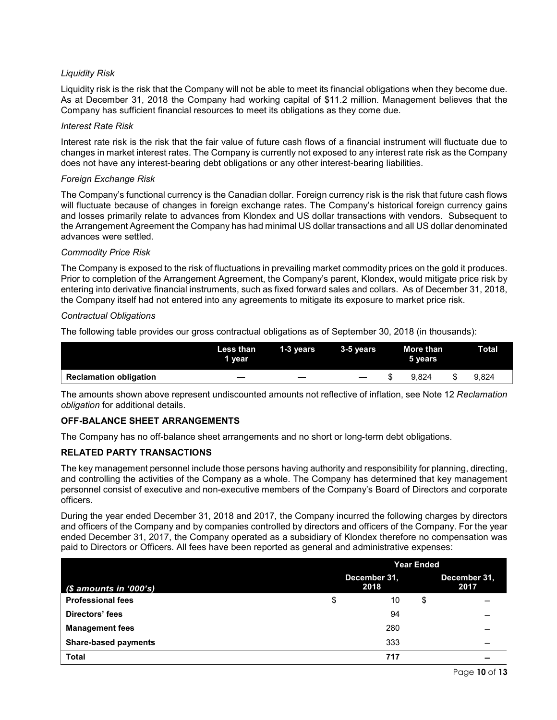# *Liquidity Risk*

Liquidity risk is the risk that the Company will not be able to meet its financial obligations when they become due. As at December 31, 2018 the Company had working capital of \$11.2 million. Management believes that the Company has sufficient financial resources to meet its obligations as they come due.

#### *Interest Rate Risk*

Interest rate risk is the risk that the fair value of future cash flows of a financial instrument will fluctuate due to changes in market interest rates. The Company is currently not exposed to any interest rate risk as the Company does not have any interest-bearing debt obligations or any other interest-bearing liabilities.

## *Foreign Exchange Risk*

The Company's functional currency is the Canadian dollar. Foreign currency risk is the risk that future cash flows will fluctuate because of changes in foreign exchange rates. The Company's historical foreign currency gains and losses primarily relate to advances from Klondex and US dollar transactions with vendors. Subsequent to the Arrangement Agreement the Company has had minimal US dollar transactions and all US dollar denominated advances were settled.

#### *Commodity Price Risk*

The Company is exposed to the risk of fluctuations in prevailing market commodity prices on the gold it produces. Prior to completion of the Arrangement Agreement, the Company's parent, Klondex, would mitigate price risk by entering into derivative financial instruments, such as fixed forward sales and collars. As of December 31, 2018, the Company itself had not entered into any agreements to mitigate its exposure to market price risk.

## *Contractual Obligations*

The following table provides our gross contractual obligations as of September 30, 2018 (in thousands):

|                               | Less than<br>1 year | 1-3 vears | $3-5$ years | More than<br>5 years |       |  | Total |  |  |
|-------------------------------|---------------------|-----------|-------------|----------------------|-------|--|-------|--|--|
| <b>Reclamation obligation</b> | _                   |           |             |                      | 9.824 |  | 9.824 |  |  |

The amounts shown above represent undiscounted amounts not reflective of inflation, see Note 12 *Reclamation obligation* for additional details.

## **OFF-BALANCE SHEET ARRANGEMENTS**

The Company has no off-balance sheet arrangements and no short or long-term debt obligations.

## **RELATED PARTY TRANSACTIONS**

The key management personnel include those persons having authority and responsibility for planning, directing, and controlling the activities of the Company as a whole. The Company has determined that key management personnel consist of executive and non-executive members of the Company's Board of Directors and corporate officers.

During the year ended December 31, 2018 and 2017, the Company incurred the following charges by directors and officers of the Company and by companies controlled by directors and officers of the Company. For the year ended December 31, 2017, the Company operated as a subsidiary of Klondex therefore no compensation was paid to Directors or Officers. All fees have been reported as general and administrative expenses:

|                             |              | <b>Year Ended</b> |              |      |  |  |  |
|-----------------------------|--------------|-------------------|--------------|------|--|--|--|
|                             | December 31, |                   | December 31. |      |  |  |  |
| $$$ amounts in '000's)      |              | 2018              |              | 2017 |  |  |  |
| <b>Professional fees</b>    | \$           | 10                | \$           |      |  |  |  |
| Directors' fees             |              | 94                |              |      |  |  |  |
| <b>Management fees</b>      |              | 280               |              |      |  |  |  |
| <b>Share-based payments</b> |              | 333               |              |      |  |  |  |
| <b>Total</b>                |              | 717               |              |      |  |  |  |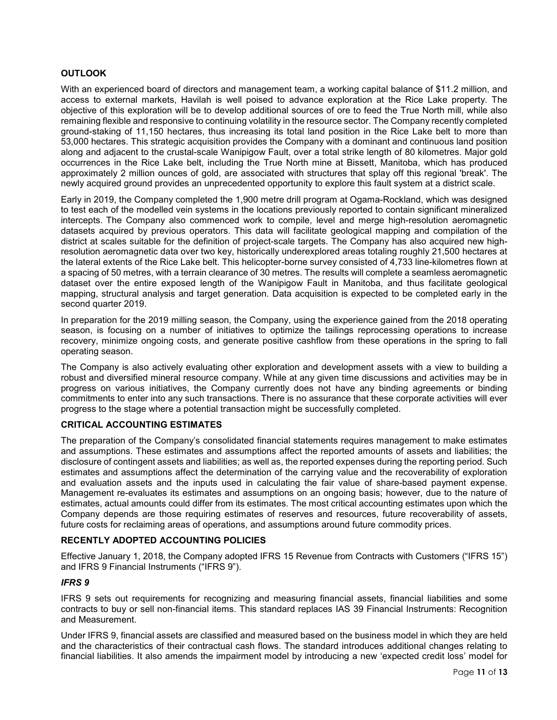# **OUTLOOK**

With an experienced board of directors and management team, a working capital balance of \$11.2 million, and access to external markets, Havilah is well poised to advance exploration at the Rice Lake property. The objective of this exploration will be to develop additional sources of ore to feed the True North mill, while also remaining flexible and responsive to continuing volatility in the resource sector. The Company recently completed ground-staking of 11,150 hectares, thus increasing its total land position in the Rice Lake belt to more than 53,000 hectares. This strategic acquisition provides the Company with a dominant and continuous land position along and adjacent to the crustal-scale Wanipigow Fault, over a total strike length of 80 kilometres. Major gold occurrences in the Rice Lake belt, including the True North mine at Bissett, Manitoba, which has produced approximately 2 million ounces of gold, are associated with structures that splay off this regional 'break'. The newly acquired ground provides an unprecedented opportunity to explore this fault system at a district scale.

Early in 2019, the Company completed the 1,900 metre drill program at Ogama-Rockland, which was designed to test each of the modelled vein systems in the locations previously reported to contain significant mineralized intercepts. The Company also commenced work to compile, level and merge high-resolution aeromagnetic datasets acquired by previous operators. This data will facilitate geological mapping and compilation of the district at scales suitable for the definition of project-scale targets. The Company has also acquired new highresolution aeromagnetic data over two key, historically underexplored areas totaling roughly 21,500 hectares at the lateral extents of the Rice Lake belt. This helicopter-borne survey consisted of 4,733 line-kilometres flown at a spacing of 50 metres, with a terrain clearance of 30 metres. The results will complete a seamless aeromagnetic dataset over the entire exposed length of the Wanipigow Fault in Manitoba, and thus facilitate geological mapping, structural analysis and target generation. Data acquisition is expected to be completed early in the second quarter 2019.

In preparation for the 2019 milling season, the Company, using the experience gained from the 2018 operating season, is focusing on a number of initiatives to optimize the tailings reprocessing operations to increase recovery, minimize ongoing costs, and generate positive cashflow from these operations in the spring to fall operating season.

The Company is also actively evaluating other exploration and development assets with a view to building a robust and diversified mineral resource company. While at any given time discussions and activities may be in progress on various initiatives, the Company currently does not have any binding agreements or binding commitments to enter into any such transactions. There is no assurance that these corporate activities will ever progress to the stage where a potential transaction might be successfully completed.

## **CRITICAL ACCOUNTING ESTIMATES**

The preparation of the Company's consolidated financial statements requires management to make estimates and assumptions. These estimates and assumptions affect the reported amounts of assets and liabilities; the disclosure of contingent assets and liabilities; as well as, the reported expenses during the reporting period. Such estimates and assumptions affect the determination of the carrying value and the recoverability of exploration and evaluation assets and the inputs used in calculating the fair value of share-based payment expense. Management re-evaluates its estimates and assumptions on an ongoing basis; however, due to the nature of estimates, actual amounts could differ from its estimates. The most critical accounting estimates upon which the Company depends are those requiring estimates of reserves and resources, future recoverability of assets, future costs for reclaiming areas of operations, and assumptions around future commodity prices.

# **RECENTLY ADOPTED ACCOUNTING POLICIES**

Effective January 1, 2018, the Company adopted IFRS 15 Revenue from Contracts with Customers ("IFRS 15") and IFRS 9 Financial Instruments ("IFRS 9").

## *IFRS 9*

IFRS 9 sets out requirements for recognizing and measuring financial assets, financial liabilities and some contracts to buy or sell non-financial items. This standard replaces IAS 39 Financial Instruments: Recognition and Measurement.

Under IFRS 9, financial assets are classified and measured based on the business model in which they are held and the characteristics of their contractual cash flows. The standard introduces additional changes relating to financial liabilities. It also amends the impairment model by introducing a new 'expected credit loss' model for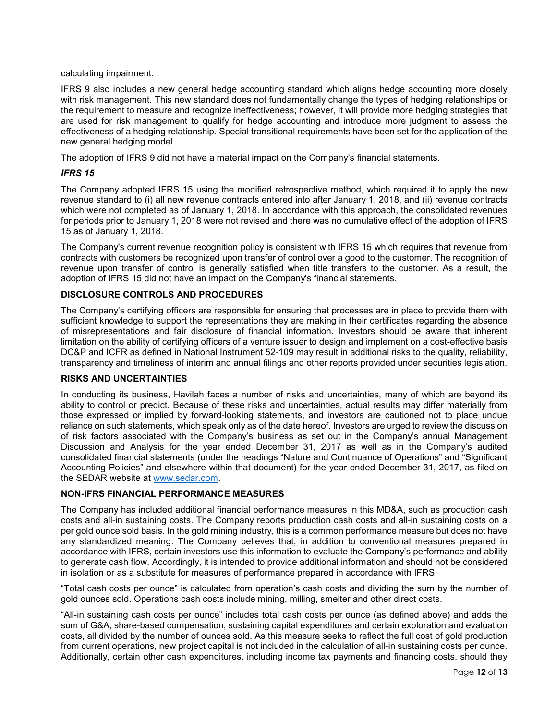#### calculating impairment.

IFRS 9 also includes a new general hedge accounting standard which aligns hedge accounting more closely with risk management. This new standard does not fundamentally change the types of hedging relationships or the requirement to measure and recognize ineffectiveness; however, it will provide more hedging strategies that are used for risk management to qualify for hedge accounting and introduce more judgment to assess the effectiveness of a hedging relationship. Special transitional requirements have been set for the application of the new general hedging model.

The adoption of IFRS 9 did not have a material impact on the Company's financial statements.

## *IFRS 15*

The Company adopted IFRS 15 using the modified retrospective method, which required it to apply the new revenue standard to (i) all new revenue contracts entered into after January 1, 2018, and (ii) revenue contracts which were not completed as of January 1, 2018. In accordance with this approach, the consolidated revenues for periods prior to January 1, 2018 were not revised and there was no cumulative effect of the adoption of IFRS 15 as of January 1, 2018.

The Company's current revenue recognition policy is consistent with IFRS 15 which requires that revenue from contracts with customers be recognized upon transfer of control over a good to the customer. The recognition of revenue upon transfer of control is generally satisfied when title transfers to the customer. As a result, the adoption of IFRS 15 did not have an impact on the Company's financial statements.

# **DISCLOSURE CONTROLS AND PROCEDURES**

The Company's certifying officers are responsible for ensuring that processes are in place to provide them with sufficient knowledge to support the representations they are making in their certificates regarding the absence of misrepresentations and fair disclosure of financial information. Investors should be aware that inherent limitation on the ability of certifying officers of a venture issuer to design and implement on a cost-effective basis DC&P and ICFR as defined in National Instrument 52-109 may result in additional risks to the quality, reliability, transparency and timeliness of interim and annual filings and other reports provided under securities legislation.

## **RISKS AND UNCERTAINTIES**

In conducting its business, Havilah faces a number of risks and uncertainties, many of which are beyond its ability to control or predict. Because of these risks and uncertainties, actual results may differ materially from those expressed or implied by forward-looking statements, and investors are cautioned not to place undue reliance on such statements, which speak only as of the date hereof. Investors are urged to review the discussion of risk factors associated with the Company's business as set out in the Company's annual Management Discussion and Analysis for the year ended December 31, 2017 as well as in the Company's audited consolidated financial statements (under the headings "Nature and Continuance of Operations" and "Significant Accounting Policies" and elsewhere within that document) for the year ended December 31, 2017, as filed on the SEDAR website at [www.sedar.com.](http://www.sedar.com/)

## **NON-IFRS FINANCIAL PERFORMANCE MEASURES**

The Company has included additional financial performance measures in this MD&A, such as production cash costs and all-in sustaining costs. The Company reports production cash costs and all-in sustaining costs on a per gold ounce sold basis. In the gold mining industry, this is a common performance measure but does not have any standardized meaning. The Company believes that, in addition to conventional measures prepared in accordance with IFRS, certain investors use this information to evaluate the Company's performance and ability to generate cash flow. Accordingly, it is intended to provide additional information and should not be considered in isolation or as a substitute for measures of performance prepared in accordance with IFRS.

"Total cash costs per ounce" is calculated from operation's cash costs and dividing the sum by the number of gold ounces sold. Operations cash costs include mining, milling, smelter and other direct costs.

"All-in sustaining cash costs per ounce" includes total cash costs per ounce (as defined above) and adds the sum of G&A, share-based compensation, sustaining capital expenditures and certain exploration and evaluation costs, all divided by the number of ounces sold. As this measure seeks to reflect the full cost of gold production from current operations, new project capital is not included in the calculation of all-in sustaining costs per ounce. Additionally, certain other cash expenditures, including income tax payments and financing costs, should they